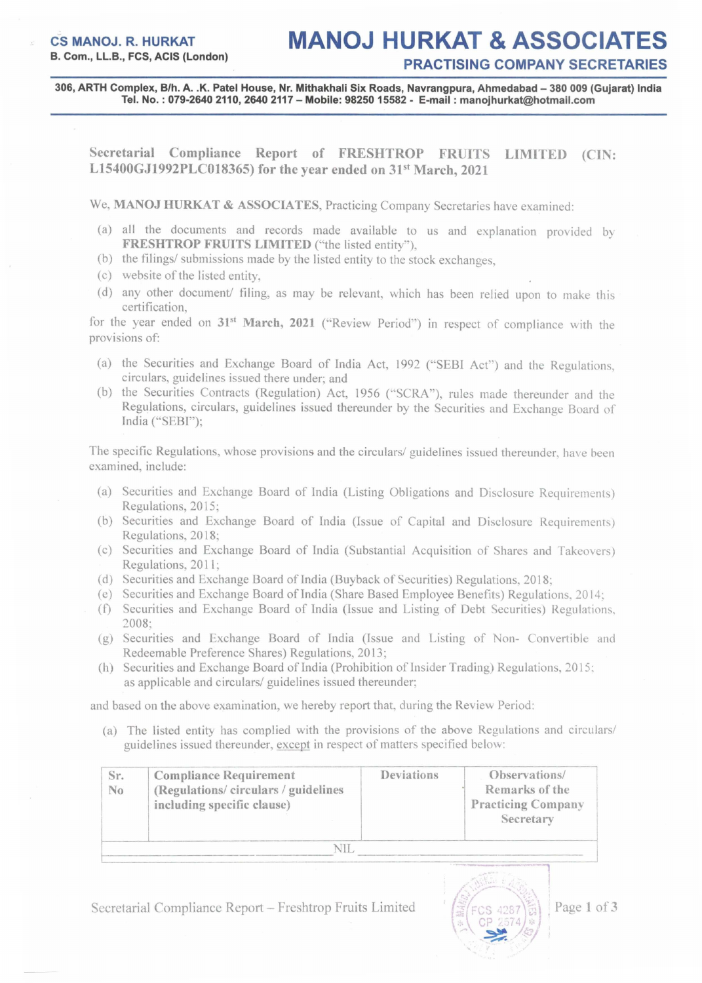306, ARTH Complex, B/h. A. .K. Patel House, Nr. Mithakhali Six Roads, Navrangpura, Ahmedabad - 380 009 (Gujarat) India Tel. No. : 079-26402110,26402117 - Mobile: 98250 15582 - E-mail: manojhurkat@hotmail.com

Secretarial Compliance Report of FRESHTROP FRUITS LIMITED (CIN: L15400GJ1992PLC018365) for the year ended on  $31<sup>st</sup>$  March, 2021

We, MANOJ HURKAT & ASSOCIATES, Practicing Company Secretaries have examined:

- (a) all the documents and records made available to us and explanation provided by FRESHTROP FRUITS LIMITED ("the listed entity").
- (b) the filings/ submissions made by the listed entity to the stock exchanges,
- (c) website of the listed entity,
- (d) any other document/ filing, as may be relevant, which has been relied upon to make this certification,

for the year ended on 31<sup>st</sup> March, 2021 ("Review Period") in respect of compliance with the provisions of:

- (a) the Securities and Exchange Board of India Act, 1992 ("SEBI Act") and the Regulations, circulars, guidelines issued there under; and
- (b) the Securities Contracts (Regulation) Act, 1956 ("SCRA"), rules made thereunder and the Regulations, circulars, guidelines issued thereunder by the Securities and Exchange Board of India ("SEBI");

The specific Regulations, whose provisions and the circulars/ guidelines issued thereunder, have been examined, include:

- (a) Securities and Exchange Board of India (Listing Obligations and Disclosure Requirements) Regulations, 2015;
- (b) Securities and Exchange Board of India (Issue of Capital and Disclosure Requirements) Regulations, 2018;
- (c) Securities and Exchange Board of India (Substantial Acquisition of Shares and Takeovers) Regulations, 2011;
- (d) Securities and Exchange Board of India (Buyback of Securities) Regulations, 2018;
- (e) Securities and Exchange Board ofIndia (Share Based Employee Benefits) Regulations, 2014;
- (f) Securities and Exchange Board of India (Issue and Listing of Debt Securities) Regulations, 2008;
- (g) Securities and Exchange Board of India (Issue and Listing of Non- Convertible and Redeemable Preference Shares) Regulations, 2013;
- (h) Securities and Exchange Board of India (Prohibition of Insider Trading) Regulations,  $2015$ ; as applicable and circulars/ guidelines issued thereunder;

and based on the above examination, we hereby report that, during the Review Period:

(a) The listed entity has complied with the provisions of the above Regulations and circulars/ guidelines issued thereunder, except in respect of matters specified below:

| Sr.<br>N <sub>0</sub> | <b>Compliance Requirement</b><br>(Regulations/circulars/guidelines<br>including specific clause) | Deviations | Observations/<br>Remarks of the<br><b>Practicing Company</b><br>Secretary                        |
|-----------------------|--------------------------------------------------------------------------------------------------|------------|--------------------------------------------------------------------------------------------------|
|                       |                                                                                                  |            |                                                                                                  |
|                       |                                                                                                  |            | and a model of the case of the contract and a second contract of the contract of the contract of |

Secretarial Compliance Report - Freshtrop Fruits Limited



Page 1 of 3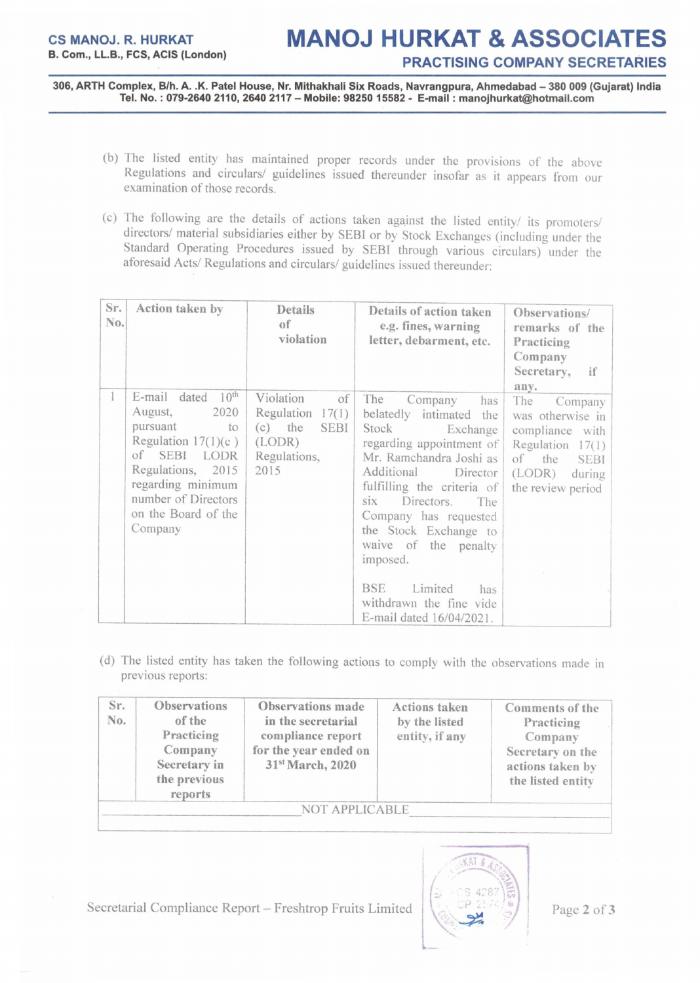306, ARTH Complex, B/h. A. .K. Patel House, Nr. Mithakhali Six Roads, Navrangpura, Ahmedabad - 380 009 (Gujarat) India Tel. No. : 079-26402110,26402117 - Mobile: 98250 15582 - E-mail: manojhurkat@hotmail.com

- (b) The listed entity has maintained proper records under the provisions of the above Regulations and circulars/ guidelines issued thereunder insofar as it appears from our examination of those records.
- (c) The following are the details of actions taken against the listed entity/ its promoters/ directors/ material subsidiaries either by SEBI or by Stock Exchanges (including under the Standard Operating Procedures issued by SEBI through various circulars) under the aforesaid Acts/ Regulations and circulars/ guidelines issued thereunder:

| Sr.<br>No. | Action taken by                                                                                                                                                                                                      | Details<br>of<br>violation                                                                           | Details of action taken<br>e.g. fines, warning<br>letter, debarment, etc.                                                                                                                                                                                                                                                                                                                         | Observations/<br>remarks of the<br>Practicing<br>Company<br>Secretary,<br>if<br>any.                                                              |
|------------|----------------------------------------------------------------------------------------------------------------------------------------------------------------------------------------------------------------------|------------------------------------------------------------------------------------------------------|---------------------------------------------------------------------------------------------------------------------------------------------------------------------------------------------------------------------------------------------------------------------------------------------------------------------------------------------------------------------------------------------------|---------------------------------------------------------------------------------------------------------------------------------------------------|
|            | E-mail<br>10 <sup>th</sup><br>dated<br>August,<br>2020<br>pursuant<br>to<br>Regulation $17(1)(c)$<br>of SEBI LODR<br>Regulations, 2015<br>regarding minimum<br>number of Directors<br>on the Board of the<br>Company | Violation<br>of<br>Regulation<br>17(1)<br>$(c)$ the<br><b>SEBI</b><br>(LODR)<br>Regulations,<br>2015 | The<br>Company<br>has<br>belatedly intimated<br>the<br>Stock<br>Exchange<br>regarding appointment of<br>Mr. Ramchandra Joshi as<br>Additional<br>Director<br>fulfilling the criteria of<br>Directors.<br>SIX.<br>The<br>Company has requested<br>the Stock Exchange to<br>waive of the penalty<br>imposed.<br><b>BSE</b><br>Limited<br>has<br>withdrawn the fine vide<br>E-mail dated 16/04/2021. | The<br>Company<br>was otherwise in<br>compliance with<br>Regulation<br>17(1)<br>of<br>the<br><b>SEBI</b><br>(LODR)<br>during<br>the review period |

(d) The listed entity has taken the following actions to comply with the observations made in previous reports:

| Sr.<br>No. | Observations<br>of the<br>Practicing<br>Company<br>Secretary in<br>the previous<br>reports | Observations made<br>in the secretarial<br>compliance report<br>for the year ended on<br>31st March, 2020 | <b>Actions taken</b><br>by the listed<br>entity, if any | Comments of the<br>Practicing<br>Company<br>Secretary on the<br>actions taken by<br>the listed entity |
|------------|--------------------------------------------------------------------------------------------|-----------------------------------------------------------------------------------------------------------|---------------------------------------------------------|-------------------------------------------------------------------------------------------------------|
|            |                                                                                            | <b>NOT APPLICABLE</b>                                                                                     |                                                         |                                                                                                       |